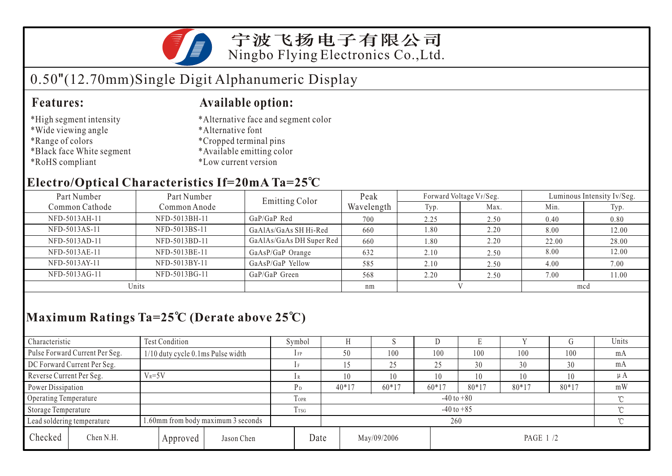

宁波飞扬电子有限公司 Ningbo Flying Electronics Co.,Ltd.

# 0.50"(12.70mm)Single Digit Alphanumeric Display

#### **Features: Available option:**

- \*High segment intensity
- \*Wide viewing angle
- \*Range of colors
- \*Black face White segment
- \*RoHS compliant
- \*Alternative face and segment color
- \*Alternative font
- \*Cropped terminal pins
- \*Available emitting color
- \*Low current version

### **Electro/Optical Characteristics If=20mA Ta=25 C**

| Part Number    | Part Number   | <b>Emitting Color</b>    | Peak       | Forward Voltage VF/Seg. |      | Luminous Intensity Iv/Seg. |       |  |
|----------------|---------------|--------------------------|------------|-------------------------|------|----------------------------|-------|--|
| Common Cathode | Common Anode  |                          | Wavelength | Typ.                    | Max. | Min.                       | Typ.  |  |
| NFD-5013AH-11  | NFD-5013BH-11 | $GaP/GaP$ Red            | 700        | 2.25                    | 2.50 | 0.40                       | 0.80  |  |
| NFD-5013AS-11  | NFD-5013BS-11 | GaAlAs/GaAs SH Hi-Red    | 660        | 1.80                    | 2.20 | 8.00                       | 12.00 |  |
| NFD-5013AD-11  | NFD-5013BD-11 | GaAlAs/GaAs DH Super Red | 660        | 1.80                    | 2.20 | 22.00                      | 28.00 |  |
| NFD-5013AE-11  | NFD-5013BE-11 | GaAsP/GaP Orange         | 632        | 2.10                    | 2.50 | 8.00                       | 12.00 |  |
| NFD-5013AY-11  | NFD-5013BY-11 | GaAsP/GaP Yellow         | 585        | 2.10                    | 2.50 | 4.00                       | 7.00  |  |
| NFD-5013AG-11  | NFD-5013BG-11 | GaP/GaP Green            | 568        | 2.20                    | 2.50 | 7.00                       | 1.00  |  |
| Units          |               |                          | nm         |                         |      | mcd                        |       |  |

## **Maximum Ratings Ta=25 C (Derate above 25 C)**

| Characteristic                 |           | Test Condition                     |                 | Symbol         |                                  |         | ×.      |         | Е       |         |         | Units |
|--------------------------------|-----------|------------------------------------|-----------------|----------------|----------------------------------|---------|---------|---------|---------|---------|---------|-------|
| Pulse Forward Current Per Seg. |           | 1/10 duty cycle 0.1ms Pulse width  |                 | $1$ FP         |                                  | 50      | 100     | 100     | 100     | 100     | 100     | mA    |
| DC Forward Current Per Seg.    |           |                                    |                 |                |                                  |         | 25      | 25      | 30      | 30      | 30      | mA    |
| Reverse Current Per Seg.       |           | $V_R = 5V$                         |                 | lR             |                                  | 10      | 10      | 10      | 10      | 10      | 10      | μA    |
| Power Dissipation              |           |                                    |                 | P <sub>D</sub> |                                  | $40*17$ | $60*17$ | $60*17$ | $80*17$ | $80*17$ | $80*17$ | mW    |
| Operating Temperature          |           |                                    | TOPR            |                | $-40$ to $+80$                   |         |         |         |         |         |         |       |
| Storage Temperature            |           |                                    | T <sub>sg</sub> |                | $-40$ to $+85$                   |         |         |         |         |         |         |       |
| Lead soldering temperature     |           | 1.60mm from body maximum 3 seconds |                 |                |                                  | 260     |         |         |         |         |         |       |
| Checked                        | Chen N.H. | Approved                           | Jason Chen      |                | Date<br>May/09/2006<br>PAGE 1 /2 |         |         |         |         |         |         |       |